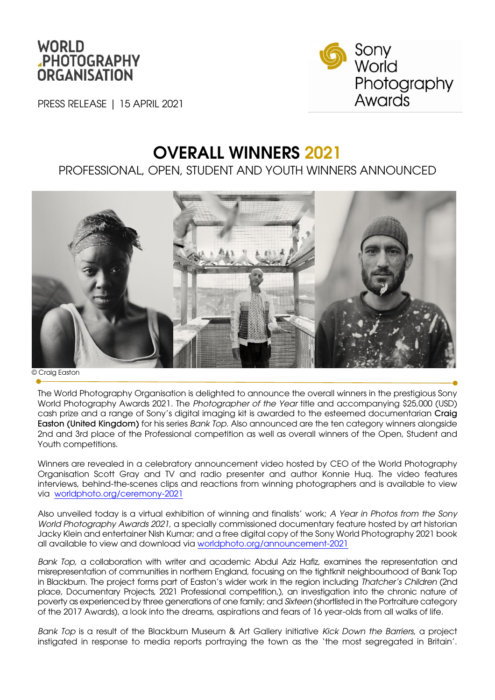



PRESS RELEASE | 15 APRIL 2021

# OVERALL WINNERS 2021

## PROFESSIONAL, OPEN, STUDENT AND YOUTH WINNERS ANNOUNCED



© Craig Easton

The World Photography Organisation is delighted to announce the overall winners in the prestigious Sony World Photography Awards 2021. The *Photographer of the Year* title and accompanying \$25,000 (USD) cash prize and a range of Sony's digital imaging kit is awarded to the esteemed documentarian Craig Easton (United Kingdom) for his series *Bank Top*. Also announced are the ten category winners alongside 2nd and 3rd place of the Professional competition as well as overall winners of the Open, Student and Youth competitions.

Winners are revealed in a celebratory announcement video hosted by CEO of the World Photography Organisation Scott Gray and TV and radio presenter and author Konnie Huq. The video features interviews, behind-the-scenes clips and reactions from winning photographers and is available to view via [worldphoto.org/ceremony-2021](https://www.worldphoto.org/ceremony-2021)

Also unveiled today is a virtual exhibition of winning and finalists' work; *A Year in Photos from the Sony World Photography Awards 2021*, a specially commissioned documentary feature hosted by art historian Jacky Klein and entertainer Nish Kumar; and a free digital copy of the Sony World Photography 2021 book all available to view and download via [worldphoto.org/announcement-2021](http://www.worldphoto.org/announcement-2021)

*Bank Top,* a collaboration with writer and academic Abdul Aziz Hafiz, examines the representation and misrepresentation of communities in northern England, focusing on the tightknit neighbourhood of Bank Top in Blackburn. The project forms part of Easton's wider work in the region including *Thatcher's Children* (2nd place, Documentary Projects, 2021 Professional competition,), an investigation into the chronic nature of poverty as experienced by three generations of one family; and *Sixteen* (shortlisted in the Portraiture category of the 2017 Awards), a look into the dreams, aspirations and fears of 16 year-olds from all walks of life.

*Bank Top* is a result of the Blackburn Museum & Art Gallery initiative *Kick Down the Barriers*, a project instigated in response to media reports portraying the town as the 'the most segregated in Britain'.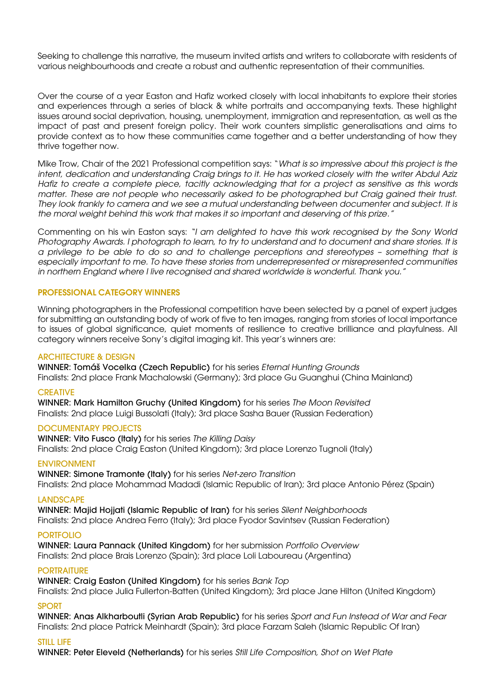Seeking to challenge this narrative, the museum invited artists and writers to collaborate with residents of various neighbourhoods and create a robust and authentic representation of their communities.

Over the course of a year Easton and Hafiz worked closely with local inhabitants to explore their stories and experiences through a series of black & white portraits and accompanying texts. These highlight issues around social deprivation, housing, unemployment, immigration and representation, as well as the impact of past and present foreign policy. Their work counters simplistic generalisations and aims to provide context as to how these communities came together and a better understanding of how they thrive together now.

Mike Trow, Chair of the 2021 Professional competition says: "*What is so impressive about this project is the intent, dedication and understanding Craig brings to it. He has worked closely with the writer Abdul Aziz Hafiz to create a complete piece, tacitly acknowledging that for a project as sensitive as this words matter. These are not people who necessarily asked to be photographed but Craig gained their trust. They look frankly to camera and we see a mutual understanding between documenter and subject. It is the moral weight behind this work that makes it so important and deserving of this prize."*

Commenting on his win Easton says: *"I am delighted to have this work recognised by the Sony World Photography Awards. I photograph to learn, to try to understand and to document and share stories. It is a privilege to be able to do so and to challenge perceptions and stereotypes – something that is especially important to me. To have these stories from underrepresented or misrepresented communities in northern England where I live recognised and shared worldwide is wonderful. Thank you."*

### PROFESSIONAL CATEGORY WINNERS

Winning photographers in the Professional competition have been selected by a panel of expert judges for submitting an outstanding body of work of five to ten images, ranging from stories of local importance to issues of global significance, quiet moments of resilience to creative brilliance and playfulness. All category winners receive Sony's digital imaging kit. This year's winners are:

### ARCHITECTURE & DESIGN

WINNER: Tomáš Vocelka (Czech Republic) for his series *Eternal Hunting Grounds* Finalists: 2nd place Frank Machalowski (Germany); 3rd place Gu Guanghui (China Mainland)

#### **CREATIVE**

WINNER: Mark Hamilton Gruchy (United Kingdom) for his series *The Moon Revisited*  Finalists: 2nd place Luigi Bussolati (Italy); 3rd place Sasha Bauer (Russian Federation)

#### DOCUMENTARY PROJECTS

WINNER: Vito Fusco (Italy) for his series *The Killing Daisy*  Finalists: 2nd place Craig Easton (United Kingdom); 3rd place Lorenzo Tugnoli (Italy)

#### ENVIRONMENT

WINNER: Simone Tramonte (Italy) for his series *Net-zero Transition*  Finalists: 2nd place Mohammad Madadi (Islamic Republic of Iran); 3rd place Antonio Pérez (Spain)

#### **LANDSCAPE**

WINNER: Majid Hojjati (Islamic Republic of Iran) for his series *Silent Neighborhoods*  Finalists: 2nd place Andrea Ferro (Italy); 3rd place Fyodor Savintsev (Russian Federation)

#### PORTFOLIO

WINNER: Laura Pannack (United Kingdom) for her submission *Portfolio Overview* Finalists: 2nd place Brais Lorenzo (Spain); 3rd place Loli Laboureau (Argentina)

### PORTRAITURE

WINNER: Craig Easton (United Kingdom) for his series *Bank Top*

Finalists: 2nd place Julia Fullerton-Batten (United Kingdom); 3rd place Jane Hilton (United Kingdom)

### SPORT

WINNER: Anas Alkharboutli (Syrian Arab Republic) for his series *Sport and Fun Instead of War and Fear* Finalists: 2nd place Patrick Meinhardt (Spain); 3rd place Farzam Saleh (Islamic Republic Of Iran)

### STILL LIFF

WINNER: Peter Eleveld (Netherlands) for his series *Still Life Composition, Shot on Wet Plate*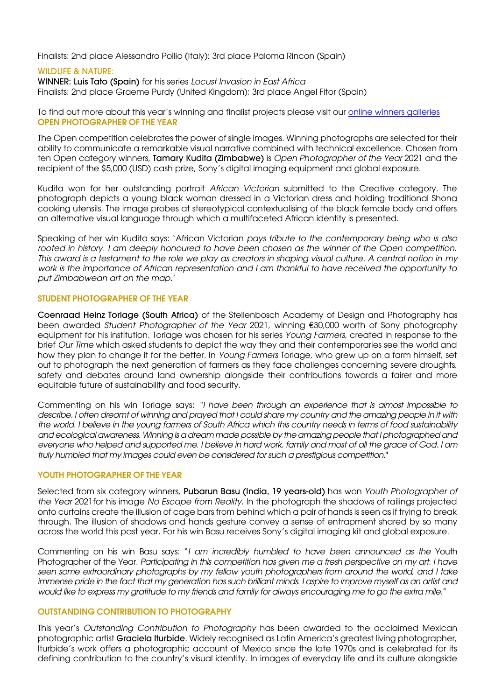Finalists: 2nd place Alessandro Pollio (Italy); 3rd place Paloma Rincon (Spain)

### WILDLIFE & NATURE:

WINNER: Luis Tato (Spain) for his series *Locust Invasion in East Africa* Finalists: 2nd place Graeme Purdy (United Kingdom); 3rd place Angel Fitor (Spain)

To find out more about this year's winning and finalist projects please visit our [online winners galleries](https://www.worldphoto.org/2021-professional-competition-finalists-shortlist) OPEN PHOTOGRAPHER OF THE YEAR

The Open competition celebrates the power of single images. Winning photographs are selected for their ability to communicate a remarkable visual narrative combined with technical excellence. Chosen from ten Open category winners, Tamary Kudita (Zimbabwe) is *Open Photographer of the Year* 2021 and the recipient of the \$5,000 (USD) cash prize, Sony's digital imaging equipment and global exposure.

Kudita won for her outstanding portrait *African Victorian* submitted to the Creative category. The photograph depicts a young black woman dressed in a Victorian dress and holding traditional Shona cooking utensils. The image probes at stereotypical contextualising of the black female body and offers an alternative visual language through which a multifaceted African identity is presented.

Speaking of her win Kudita says: 'African Victorian *pays tribute to the contemporary being who is also*  rooted in history. I am deeply honoured to have been chosen as the winner of the Open competition. *This award is a testament to the role we play as creators in shaping visual culture. A central notion in my work is the importance of African representation and I am thankful to have received the opportunity to put Zimbabwean art on the map.*'

### STUDENT PHOTOGRAPHER OF THE YEAR

Coenraad Heinz Torlage (South Africa) of the Stellenbosch Academy of Design and Photography has been awarded *Student Photographer of the Year* 2021, winning €30,000 worth of Sony photography equipment for his institution. Torlage was chosen for his series *Young Farmers*, created in response to the brief *Our Time* which asked students to depict the way they and their contemporaries see the world and how they plan to change it for the better. In *Young Farmers* Torlage, who grew up on a farm himself, set out to photograph the next generation of farmers as they face challenges concerning severe droughts, safety and debates around land ownership alongside their contributions towards a fairer and more equitable future of sustainability and food security.

Commenting on his win Torlage says: *"I have been through an experience that is almost impossible to describe. I often dreamt of winning and prayed that I could share my country and the amazing people in it with the world. I believe in the young farmers of South Africa which this country needs in terms of food sustainability and ecological awareness. Winning is a dream made possible by the amazing people that I photographed and everyone who helped and supported me. I believe in hard work, family and most of all the grace of God. I am truly humbled that my images could even be considered for such a prestigious competition.*"

#### YOUTH PHOTOGRAPHER OF THE YEAR

Selected from six category winners, Pubarun Basu (India, 19 years-old) has won *Youth Photographer of the Year* 2021for his image *No Escape from Reality*. In the photograph the shadows of railings projected onto curtains create the illusion of cage bars from behind which a pair of hands is seen as if trying to break through. The illusion of shadows and hands gesture convey a sense of entrapment shared by so many across the world this past year. For his win Basu receives Sony's digital imaging kit and global exposure.

Commenting on his win Basu says: "*I am incredibly humbled to have been announced as the* Youth Photographer of the Year*. Participating in this competition has given me a fresh perspective on my art. I have seen some extraordinary photographs by my fellow youth photographers from around the world, and I take*  immense pride in the fact that my generation has such brilliant minds. I aspire to improve myself as an artist and would like to express my gratitude to my friends and family for always encouraging me to go the extra mile."

#### OUTSTANDING CONTRIBUTION TO PHOTOGRAPHY

This year's *Outstanding Contribution to Photography* has been awarded to the acclaimed Mexican photographic artist Graciela Iturbide. Widely recognised as Latin America's greatest living photographer, Iturbide's work offers a photographic account of Mexico since the late 1970s and is celebrated for its defining contribution to the country's visual identity. In images of everyday life and its culture alongside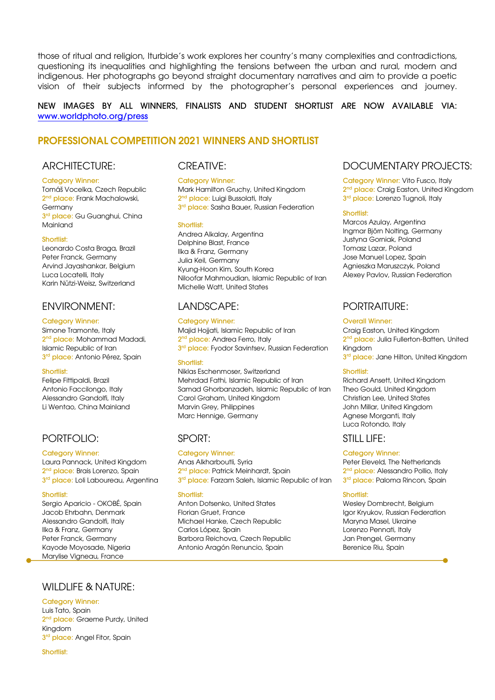those of ritual and religion, Iturbide's work explores her country's many complexities and contradictions, questioning its inequalities and highlighting the tensions between the urban and rural, modern and indigenous. Her photographs go beyond straight documentary narratives and aim to provide a poetic vision of their subjects informed by the photographer's personal experiences and journey.

### NEW IMAGES BY ALL WINNERS, FINALISTS AND STUDENT SHORTLIST ARE NOW AVAILABLE VIA: [www.worldphoto.org/press](http://www.worldphoto.org/press)

### PROFESSIONAL COMPETITION 2021 WINNERS AND SHORTLIST

### ARCHITECTURE:

#### Category Winner:

Tomáš Vocelka, Czech Republic 2<sup>na</sup> place: Frank Machalowski, Germany 3<sup>rd</sup> place: Gu Guanghui, China Mainland

#### Shortlist:

Leonardo Costa Braga, Brazil Peter Franck, Germany Arvind Jayashankar, Belgium Luca Locatelli, Italy Karin Nützi-Weisz, Switzerland

### ENVIRONMENT:

#### Category Winner:

Simone Tramonte, Italy 2<sup>nd</sup> place: Mohammad Madadi, Islamic Republic of Iran 3<sup>rd</sup> place: Antonio Pérez, Spain

#### **Shortlist:**

Felipe Fittipaldi, Brazil Antonio Faccilongo, Italy Alessandro Gandolfi, Italy Li Wentao, China Mainland

### PORTFOLIO:

#### Category Winner:

Laura Pannack, United Kingdom 2<sup>nd</sup> place: Brais Lorenzo, Spain 3<sup>rd</sup> place: Loli Laboureau, Argentina

#### Shortlist:

Sergio Aparicio - OKOBÉ, Spain Jacob Ehrbahn, Denmark Alessandro Gandolfi, Italy Ilka & Franz, Germany Peter Franck, Germany Kayode Moyosade, Nigeria Marylise Vigneau, France

### WILDLIFE & NATURE:

Category Winner: Luis Tato, Spain 2<sup>nd</sup> place: Graeme Purdy, United Kingdom 3<sup>rd</sup> place: Angel Fitor, Spain

Shortlist:

### CREATIVE:

### Category Winner:

Mark Hamilton Gruchy, United Kingdom 2<sup>na</sup> place: Luigi Bussolati, Italy 3<sup>ra</sup> place: Sasha Bauer, Russian Federation

#### Shortlist:

Andrea Alkalay, Argentina Delphine Blast, France Ilka & Franz, Germany Julia Keil, Germany Kyung-Hoon Kim, South Korea Niloofar Mahmoudian, Islamic Republic of Iran Michelle Watt, United States

### LANDSCAPE:

#### Category Winner:

Majid Hojjati, Islamic Republic of Iran 2<sup>nd</sup> place: Andrea Ferro, Italy 3<sup>rd</sup> place: Fyodor Savintsev, Russian Federation

#### Shortlist:

Niklas Eschenmoser, Switzerland Mehrdad Fathi, Islamic Republic of Iran Samad Ghorbanzadeh, Islamic Republic of Iran Carol Graham, United Kingdom Marvin Grey, Philippines Marc Hennige, Germany

### SPORT:

#### Category Winner:

Anas Alkharboutli, Syria 2<sup>nd</sup> place: Patrick Meinhardt, Spain 3<sup>rd</sup> place: Farzam Saleh, Islamic Republic of Iran

#### Shortlist:

Anton Dotsenko, United States Florian Gruet, France Michael Hanke, Czech Republic Carlos López, Spain Barbora Reichova, Czech Republic Antonio Aragón Renuncio, Spain

### DOCUMENTARY PROJECTS:

Category Winner: Vito Fusco, Italy 2<sup>na</sup> pl<mark>ace:</mark> Craig Easton, United Kingdom 3<sup>ra</sup> place: Lorenzo Tugnoli, Italy

#### Shortlist:

Marcos Azulay, Argentina Ingmar Björn Nolting, Germany Justyna Gorniak, Poland Tomasz Lazar, Poland Jose Manuel Lopez, Spain Agnieszka Maruszczyk, Poland Alexey Pavlov, Russian Federation

### PORTRAITURE:

#### Overall Winner:

Craig Easton, United Kingdom 2<sup>nd</sup> place: Julia Fullerton-Batten, United Kingdom

3<sup>rd</sup> place: Jane Hilton, United Kingdom

#### Shortlist:

Richard Ansett, United Kingdom Theo Gould, United Kingdom Christian Lee, United States John Millar, United Kingdom Agnese Morganti, Italy Luca Rotondo, Italy

#### STILL LIFE:

#### Category Winner:

Peter Eleveld, The Netherlands 2<sup>nd</sup> place: Alessandro Pollio, Italy 3<sup>rd</sup> place: Paloma Rincon, Spain

#### Shortlist:

Wesley Dombrecht, Belgium Igor Kryukov, Russian Federation Maryna Masel, Ukraine Lorenzo Pennati, Italy Jan Prengel, Germany Berenice Riu, Spain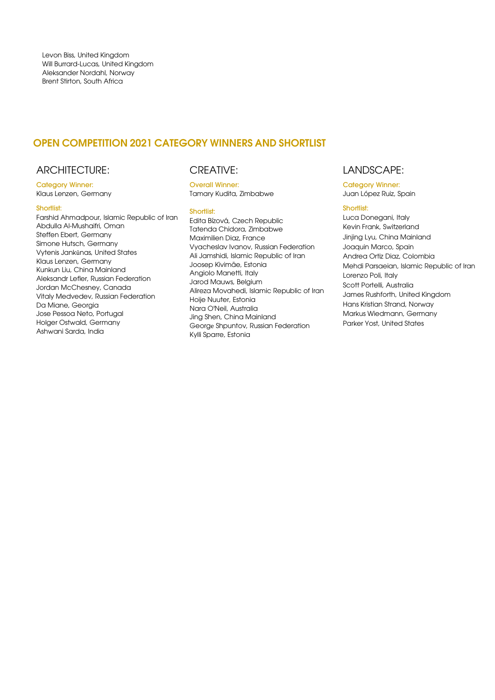Levon Biss, United Kingdom Will Burrard-Lucas, United Kingdom Aleksander Nordahl, Norway Brent Stirton, South Africa

### OPEN COMPETITION 2021 CATEGORY WINNERS AND SHORTLIST

### ARCHITECTURE:

Category Winner: Klaus Lenzen, Germany

#### Shortlist:

Farshid Ahmadpour, Islamic Republic of Iran Abdulla Al-Mushaifri, Oman Steffen Ebert, Germany Simone Hutsch, Germany Vytenis Jankūnas, United States Klaus Lenzen, Germany Kunkun Liu, China Mainland Aleksandr Lefler, Russian Federation Jordan McChesney, Canada Vitaly Medvedev, Russian Federation Da Miane, Georgia Jose Pessoa Neto, Portugal Holger Ostwald, Germany Ashwani Sarda, India

### CREATIVE:

Overall Winner: Tamary Kudita, Zimbabwe

#### Shortlist:

Edita Bízová, Czech Republic Tatenda Chidora, Zimbabwe Maximilien Diaz, France Vyacheslav Ivanov, Russian Federation Ali Jamshidi, Islamic Republic of Iran Joosep Kivimäe, Estonia Angiolo Manetti, Italy Jarod Mauws, Belgium Alireza Movahedi, Islamic Republic of Iran Hoije Nuuter, Estonia Nara O'Neil, Australia Jing Shen, China Mainland Georgе Shpuntov, Russian Federation Kylli Sparre, Estonia

### LANDSCAPE:

Category Winner: Juan López Ruiz, Spain

#### Shortlist:

Luca Donegani, Italy Kevin Frank, Switzerland Jinjing Lyu, China Mainland Joaquin Marco, Spain Andrea Ortiz Diaz, Colombia Mehdi Parsaeian, Islamic Republic of Iran Lorenzo Poli, Italy Scott Portelli, Australia James Rushforth, United Kingdom Hans Kristian Strand, Norway Markus Wiedmann, Germany Parker Yost, United States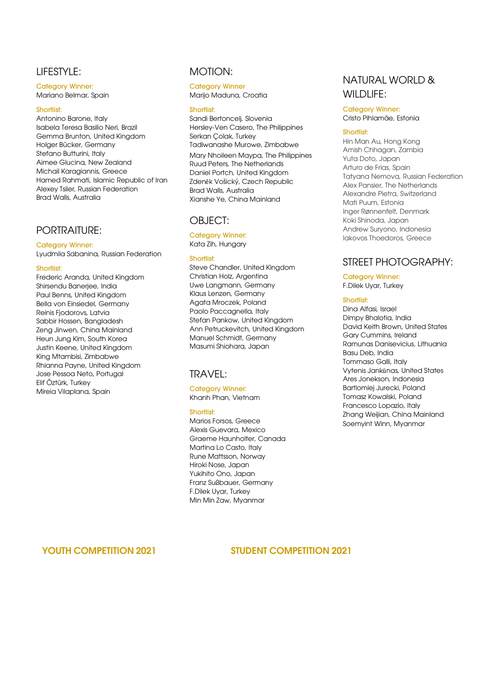### LIFESTYLE:

#### Category Winner: Mariano Belmar, Spain

#### Shortlist:

Antonino Barone, Italy Isabela Teresa Basilio Neri, Brazil Gemma Brunton, United Kingdom Holger Bücker, Germany Stefano Butturini, Italy Aimee Glucina, New Zealand Michail Karagiannis, Greece Hamed Rahmati, Islamic Republic of Iran Alexey Tsiler, Russian Federation Brad Walls, Australia

### PORTRAITURE:

#### Category Winner:

Lyudmila Sabanina, Russian Federation

#### Shortlist:

Frederic Aranda, United Kingdom Shirsendu Banerjee, India Paul Benns, United Kingdom Bella von Einsiedel, Germany Reinis Fjodorovs, Latvia Sabbir Hossen, Bangladesh Zeng Jinwen, China Mainland Heun Jung Kim, South Korea Justin Keene, United Kingdom King Mtambisi, Zimbabwe Rhianna Payne, United Kingdom Jose Pessoa Neto, Portugal Elif Öztürk, Turkey Mireia Vilaplana, Spain

### MOTION:

#### Category Winner Marijo Maduna, Croatia

#### Shortlist:

Sandi Bertoncelj, Slovenia Hersley-Ven Casero, The Philippines Serkan Çolak, Turkey Tadiwanashe Murowe, Zimbabwe Mary Nhoileen Maypa, The Philippines Ruud Peters, The Netherlands Daniel Portch, United Kingdom Zdeněk Vošický, Czech Republic Brad Walls, Australia Xianshe Ye, China Mainland

### OBJECT:

### Category Winner:

Kata Zih, Hungary

#### Shortlist:

Steve Chandler, United Kingdom Christian Holz, Argentina Uwe Langmann, Germany Klaus Lenzen, Germany Agata Mroczek, Poland Paolo Paccagnella, Italy Stefan Pankow, United Kingdom Ann Petruckevitch, United Kingdom Manuel Schmidt, Germany Masumi Shiohara, Japan

### TRAVEL:

#### Category Winner: Khanh Phan, Vietnam

#### Shortlist:

Marios Forsos, Greece Alexis Guevara, Mexico Graeme Haunholter, Canada Martina Lo Casto, Italy Rune Mattsson, Norway Hiroki Nose, Japan Yukihito Ono, Japan Franz Sußbauer, Germany F.Dilek Uyar, Turkey Min Min Zaw, Myanmar

## NATURAL WORLD & WILDLIFE:

#### Category Winner: Cristo Pihlamäe, Estonia

#### Shortlist:

Hin Man Au, Hong Kong Amish Chhagan, Zambia Yuta Doto, Japan Arturo de Frias, Spain Tatyana Nemova, Russian Federation Alex Pansier, The Netherlands Alexandre Pietra, Switzerland Mati Puum, Estonia Inger Rønnenfelt, Denmark Koki Shinoda, Japan Andrew Suryono, Indonesia Iakovos Thoedoros, Greece

### STREET PHOTOGRAPHY:

### Category Winner:

F.Dilek Uyar, Turkey

#### Shortlist:

Dina Alfasi, Israel Dimpy Bhalotia, India David Keith Brown, United States Gary Cummins, Ireland Ramunas Danisevicius, Lithuania Basu Deb, India Tommaso Galli, Italy Vytenis Jankūnas, United States Ares Jonekson, Indonesia Bartlomiej Jurecki, Poland Tomasz Kowalski, Poland Francesco Lopazio, Italy Zhang Weijian, China Mainland Soemyint Winn, Myanmar

### YOUTH COMPETITION 2021 STUDENT COMPETITION 2021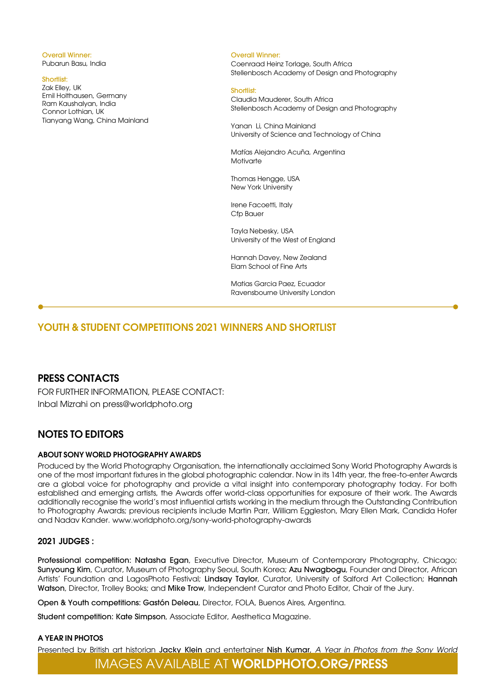Overall Winner: Pubarun Basu, India

#### Shortlist:

Zak Elley, UK Emil Holthausen, Germany Ram Kaushalyan, India Connor Lothian, UK Tianyang Wang, China Mainland

#### Overall Winner:

Coenraad Heinz Torlage, South Africa Stellenbosch Academy of Design and Photography

#### Shortlist:

Claudia Mauderer, South Africa Stellenbosch Academy of Design and Photography

Yanan Li, China Mainland University of Science and Technology of China

Matías Alejandro Acuña, Argentina Motivarte

Thomas Hengge, USA New York University

Irene Facoetti, Italy Cfp Bauer

Tayla Nebesky, USA University of the West of England

Hannah Davey, New Zealand Elam School of Fine Arts

Matias Garcia Paez, Ecuador Ravensbourne University London

### YOUTH & STUDENT COMPETITIONS 2021 WINNERS AND SHORTLIST

### PRESS CONTACTS

FOR FURTHER INFORMATION, PLEASE CONTACT: Inbal Mizrahi on press@worldphoto.org

### NOTES TO EDITORS

#### ABOUT SONY WORLD PHOTOGRAPHY AWARDS

Produced by the World Photography Organisation, the internationally acclaimed Sony World Photography Awards is one of the most important fixtures in the global photographic calendar. Now in its 14th year, the free-to-enter Awards are a global voice for photography and provide a vital insight into contemporary photography today. For both established and emerging artists, the Awards offer world-class opportunities for exposure of their work. The Awards additionally recognise the world's most influential artists working in the medium through the Outstanding Contribution to Photography Awards; previous recipients include Martin Parr, William Eggleston, Mary Ellen Mark, Candida Hofer and Nadav Kander. www.worldphoto.org/sony-world-photography-awards

#### 2021 JUDGES :

Professional competition: Natasha Egan, Executive Director, Museum of Contemporary Photography, Chicago; Sunyoung Kim, Curator, Museum of Photography Seoul, South Korea; Azu Nwagbogu, Founder and Director, African Artists' Foundation and LagosPhoto Festival; Lindsay Taylor, Curator, University of Salford Art Collection; Hannah Watson, Director, Trolley Books; and Mike Trow, Independent Curator and Photo Editor, Chair of the Jury.

Open & Youth competitions: Gastón Deleau, Director, FOLA, Buenos Aires, Argentina.

Student competition: Kate Simpson, Associate Editor, Aesthetica Magazine.

#### A YEAR IN PHOTOS

Presented by British art historian Jacky Klein and entertainer Nish Kumar, *A Year in Photos from the Sony World* 

# **Photography Awards** 2021 **Photography Awards** 2021 **celebrates the worldPhoto.org/Press**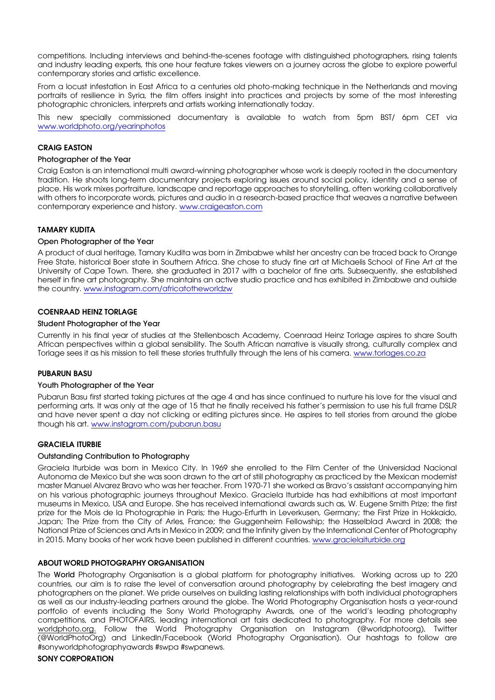competitions. Including interviews and behind-the-scenes footage with distinguished photographers, rising talents and industry leading experts, this one hour feature takes viewers on a journey across the globe to explore powerful contemporary stories and artistic excellence.

From a locust infestation in East Africa to a centuries old photo-making technique in the Netherlands and moving portraits of resilience in Syria, the film offers insight into practices and projects by some of the most interesting photographic chroniclers, interprets and artists working internationally today.

This new specially commissioned documentary is available to watch from 5pm BST/ 6pm CET via [www.worldphoto.org/yearinphotos](http://www.worldphoto.org/yearinphotos) 

#### CRAIG EASTON

#### Photographer of the Year

Craig Easton is an international multi award-winning photographer whose work is deeply rooted in the documentary tradition. He shoots long-term documentary projects exploring issues around social policy, identity and a sense of place. His work mixes portraiture, landscape and reportage approaches to storytelling, often working collaboratively with others to incorporate words, pictures and audio in a research-based practice that weaves a narrative between contemporary experience and history. [www.craigeaston.com](http://www.craigeaston.com/)

#### TAMARY KUDITA

#### Open Photographer of the Year

A product of dual heritage, Tamary Kudita was born in Zimbabwe whilst her ancestry can be traced back to Orange Free State, historical Boer state in Southern Africa. She chose to study fine art at Michaelis School of Fine Art at the University of Cape Town. There, she graduated in 2017 with a bachelor of fine arts. Subsequently, she established herself in fine art photography. She maintains an active studio practice and has exhibited in Zimbabwe and outside the country. [www.instagram.com/africatotheworldzw](http://www.instagram.com/africatotheworldzw)

#### COENRAAD HEINZ TORLAGE

#### Student Photographer of the Year

Currently in his final year of studies at the Stellenbosch Academy, Coenraad Heinz Torlage aspires to share South African perspectives within a global sensibility. The South African narrative is visually strong, culturally complex and Torlage sees it as his mission to tell these stories truthfully through the lens of his camera. [www.torlages.co.za](http://www.torlages.co.za/)

#### PUBARUN BASU

#### Youth Photographer of the Year

Pubarun Basu first started taking pictures at the age 4 and has since continued to nurture his love for the visual and performing arts. It was only at the age of 15 that he finally received his father's permission to use his full frame DSLR and have never spent a day not clicking or editing pictures since. He aspires to tell stories from around the globe though his art. www.instagram.com/pubarun.basu

#### GRACIELA ITURBIE

#### Outstanding Contribution to Photography

Graciela Iturbide was born in Mexico City. In 1969 she enrolled to the Film Center of the Universidad Nacional Autonoma de Mexico but she was soon drawn to the art of still photography as practiced by the Mexican modernist master Manuel Alvarez Bravo who was her teacher. From 1970-71 she worked as Bravo's assistant accompanying him on his various photographic journeys throughout Mexico. Graciela Iturbide has had exhibitions at most important museums in Mexico, USA and Europe. She has received international awards such as, W. Eugene Smith Prize; the first prize for the Mois de la Photographie in Paris; the Hugo-Erfurth in Leverkusen, Germany; the First Prize in Hokkaido, Japan; The Prize from the City of Arles, France; the Guggenheim Fellowship; the Hasselblad Award in 2008; the National Prize of Sciences and Arts in Mexico in 2009; and the Infinity given by the International Center of Photography in 2015. Many books of her work have been published in different countries. [www.gracielaiturbide.org](http://www.gracielaiturbide.org/)

#### ABOUT WORLD PHOTOGRAPHY ORGANISATION

The World Photography Organisation is a global platform for photography initiatives. Working across up to 220 countries, our aim is to raise the level of conversation around photography by celebrating the best imagery and photographers on the planet. We pride ourselves on building lasting relationships with both individual photographers as well as our industry-leading partners around the globe. The World Photography Organisation hosts a year-round portfolio of events including the Sony World Photography Awards, one of the world's leading photography competitions, and PHOTOFAIRS, leading international art fairs dedicated to photography. For more details see worldphoto.org. Follow the World Photography Organisation on Instagram (@worldphotoorg), Twitter (@WorldPhotoOrg) and LinkedIn/Facebook (World Photography Organisation). Our hashtags to follow are #sonyworldphotographyawards #swpa #swpanews.

#### SONY CORPORATION